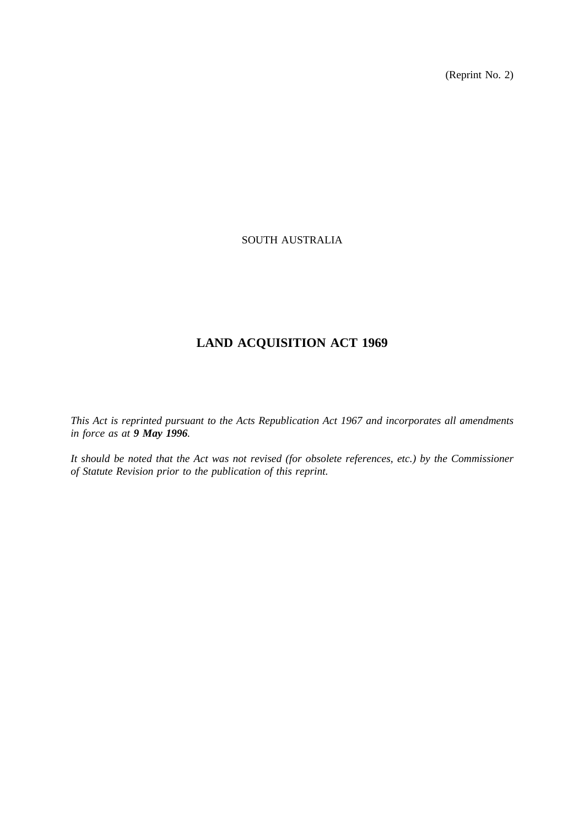(Reprint No. 2)

## SOUTH AUSTRALIA

# **LAND ACQUISITION ACT 1969**

*This Act is reprinted pursuant to the Acts Republication Act 1967 and incorporates all amendments in force as at 9 May 1996.*

*It should be noted that the Act was not revised (for obsolete references, etc.) by the Commissioner of Statute Revision prior to the publication of this reprint.*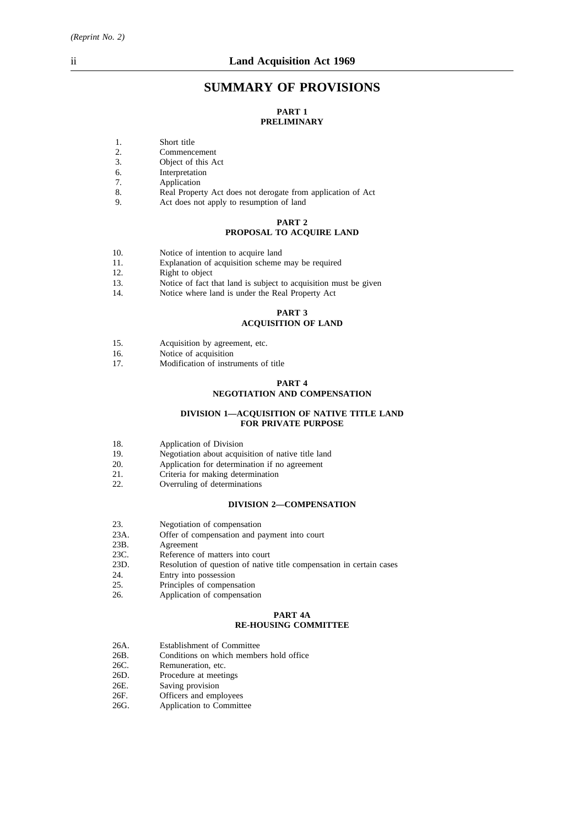## **SUMMARY OF PROVISIONS**

#### **PART 1 PRELIMINARY**

- 1. Short title
- 
- 2. Commencement<br>3. Object of this A Object of this Act
- 6. Interpretation
- 7. Application<br>8. Real Proper
- 8. Real Property Act does not derogate from application of Act 9.<br>Act does not apply to resumption of land
- Act does not apply to resumption of land

#### **PART 2**

## **PROPOSAL TO ACQUIRE LAND**

- 10. Notice of intention to acquire land
- 11. Explanation of acquisition scheme may be required<br>12. Right to object
- Right to object
- 13. Notice of fact that land is subject to acquisition must be given<br>14. Notice where land is under the Real Property Act
- Notice where land is under the Real Property Act

#### **PART 3 ACQUISITION OF LAND**

- 15. Acquisition by agreement, etc.<br>16. Notice of acquisition
- 16. Notice of acquisition<br>17. Modification of instru
- Modification of instruments of title

#### **PART 4**

## **NEGOTIATION AND COMPENSATION**

#### **DIVISION 1—ACQUISITION OF NATIVE TITLE LAND FOR PRIVATE PURPOSE**

- 18. Application of Division
- 19. Negotiation about acquisition of native title land
- 20. Application for determination if no agreement
- 21. Criteria for making determination
- 22. Overruling of determinations

#### **DIVISION 2—COMPENSATION**

- 23. Negotiation of compensation
- 23A. Offer of compensation and payment into court<br>23B. Agreement
- 23B. Agreement<br>23C. Reference of
- 23C. Reference of matters into court<br>23D. Resolution of question of native
- Resolution of question of native title compensation in certain cases
- 24. Entry into possession<br>25. Principles of compension
- Principles of compensation
- 26. Application of compensation

#### **PART 4A RE-HOUSING COMMITTEE**

- 26A. Establishment of Committee
- 26B. Conditions on which members hold office
- 26C. Remuneration, etc.<br>26D. Procedure at meeti
- Procedure at meetings
- 26E. Saving provision
- 26F. Officers and employees<br>26G. Application to Committee
- Application to Committee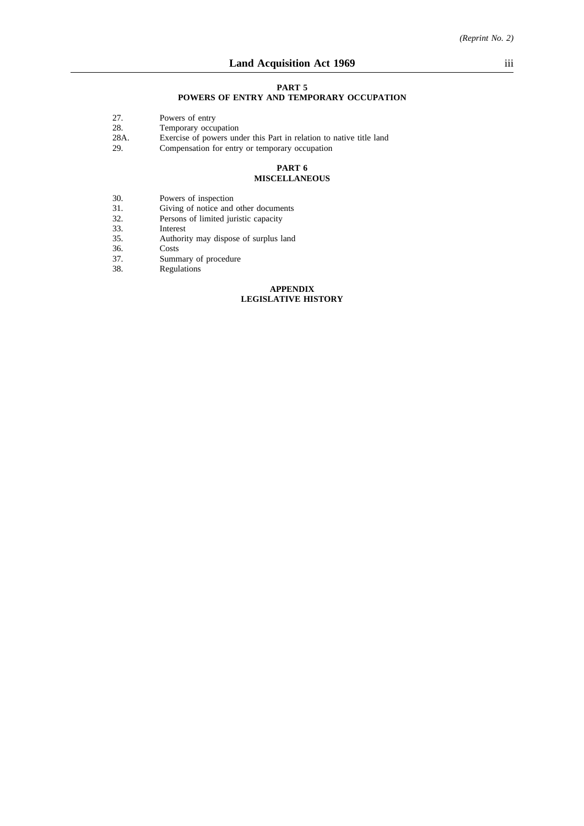#### **PART 5**

## **POWERS OF ENTRY AND TEMPORARY OCCUPATION**

- 27. Powers of entry<br>28. Temporary occu
- 28. Temporary occupation<br>28A. Exercise of powers une
- 28A. Exercise of powers under this Part in relation to native title land<br>29. Compensation for entry or temporary occupation
- Compensation for entry or temporary occupation

#### **PART 6 MISCELLANEOUS**

- 30. Powers of inspection
- 31. Giving of notice and other documents
- 32. Persons of limited juristic capacity
- 33. Interest<br>35. Authori
- 35. Authority may dispose of surplus land
- $\rm{Costs}$
- 37. Summary of procedure<br>38. Regulations
- **Regulations**

#### **APPENDIX LEGISLATIVE HISTORY**

*(Reprint No. 2)*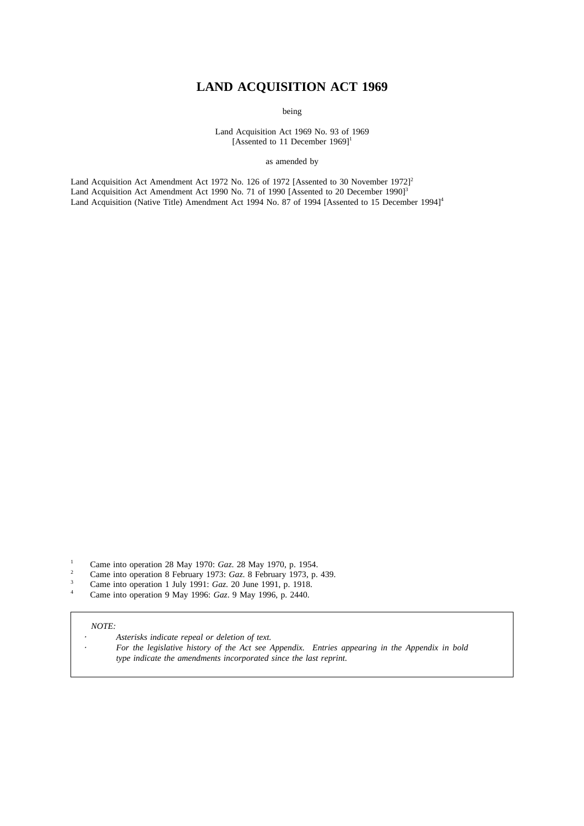# **LAND ACQUISITION ACT 1969**

being

Land Acquisition Act 1969 No. 93 of 1969 [Assented to 11 December 1969]<sup>1</sup>

as amended by

Land Acquisition Act Amendment Act 1972 No. 126 of 1972 [Assented to 30 November 1972]<sup>2</sup> Land Acquisition Act Amendment Act 1990 No. 71 of 1990 [Assented to 20 December 1990]<sup>3</sup> Land Acquisition (Native Title) Amendment Act 1994 No. 87 of 1994 [Assented to 15 December 1994]<sup>4</sup>

- <sup>1</sup> Came into operation 28 May 1970: *Gaz*. 28 May 1970, p. 1954.
- <sup>2</sup> Came into operation 8 February 1973: *Gaz*. 8 February 1973, p. 439.
- <sup>3</sup> Came into operation 1 July 1991: *Gaz*. 20 June 1991, p. 1918.
- <sup>4</sup> Came into operation 9 May 1996: *Gaz*. 9 May 1996, p. 2440.

#### *NOTE:*

- *Asterisks indicate repeal or deletion of text.*
- *For the legislative history of the Act see Appendix. Entries appearing in the Appendix in bold type indicate the amendments incorporated since the last reprint.*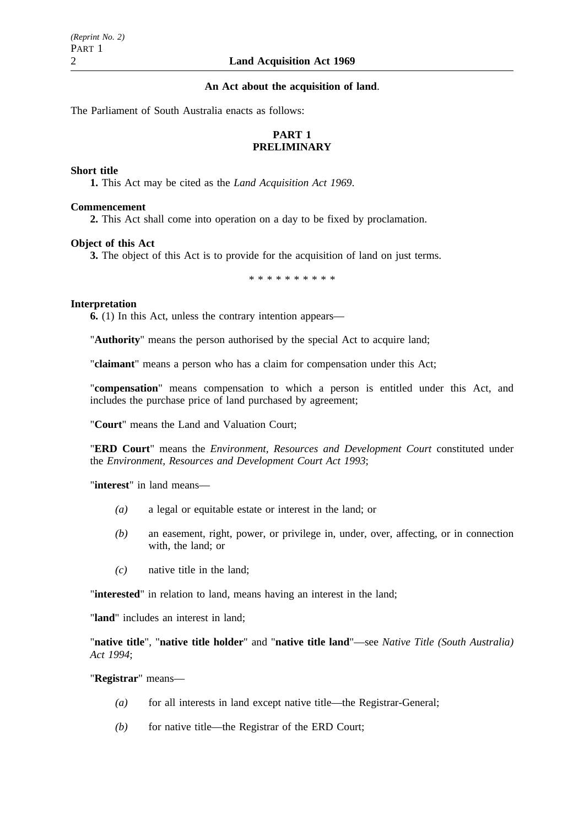### **An Act about the acquisition of land**.

The Parliament of South Australia enacts as follows:

## **PART 1 PRELIMINARY**

#### **Short title**

**1.** This Act may be cited as the *Land Acquisition Act 1969*.

#### **Commencement**

**2.** This Act shall come into operation on a day to be fixed by proclamation.

#### **Object of this Act**

**3.** The object of this Act is to provide for the acquisition of land on just terms.

\*\*\*\*\*\*\*\*\*\*

## **Interpretation**

**6.** (1) In this Act, unless the contrary intention appears—

"**Authority**" means the person authorised by the special Act to acquire land;

"**claimant**" means a person who has a claim for compensation under this Act;

"**compensation**" means compensation to which a person is entitled under this Act, and includes the purchase price of land purchased by agreement;

"**Court**" means the Land and Valuation Court;

"**ERD Court**" means the *Environment, Resources and Development Court* constituted under the *Environment, Resources and Development Court Act 1993*;

"**interest**" in land means—

- *(a)* a legal or equitable estate or interest in the land; or
- *(b)* an easement, right, power, or privilege in, under, over, affecting, or in connection with, the land; or
- *(c)* native title in the land;

"**interested**" in relation to land, means having an interest in the land;

"**land**" includes an interest in land;

"**native title**", "**native title holder**" and "**native title land**"—see *Native Title (South Australia) Act 1994*;

"**Registrar**" means—

- *(a)* for all interests in land except native title—the Registrar-General;
- *(b)* for native title—the Registrar of the ERD Court;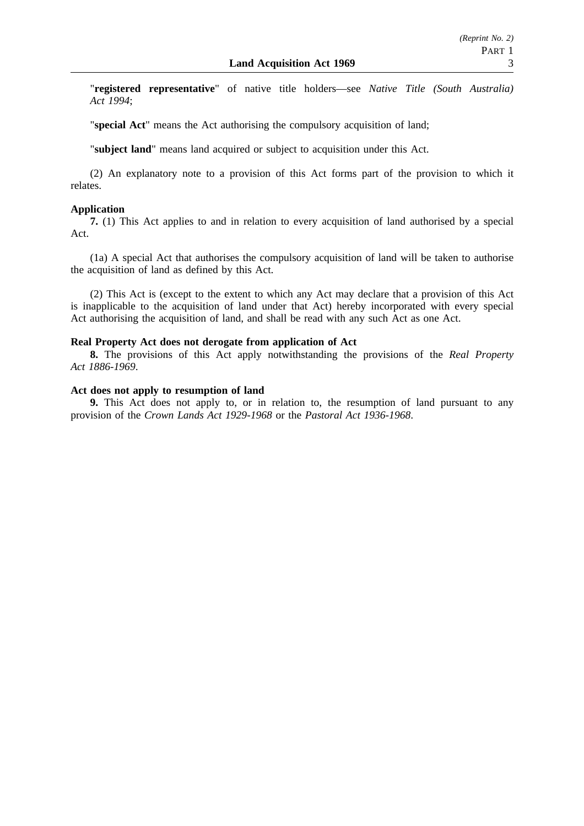"**registered representative**" of native title holders—see *Native Title (South Australia) Act 1994*;

"**special Act**" means the Act authorising the compulsory acquisition of land;

"**subject land**" means land acquired or subject to acquisition under this Act.

(2) An explanatory note to a provision of this Act forms part of the provision to which it relates.

## **Application**

**7.** (1) This Act applies to and in relation to every acquisition of land authorised by a special Act.

(1a) A special Act that authorises the compulsory acquisition of land will be taken to authorise the acquisition of land as defined by this Act.

(2) This Act is (except to the extent to which any Act may declare that a provision of this Act is inapplicable to the acquisition of land under that Act) hereby incorporated with every special Act authorising the acquisition of land, and shall be read with any such Act as one Act.

## **Real Property Act does not derogate from application of Act**

**8.** The provisions of this Act apply notwithstanding the provisions of the *Real Property Act 1886-1969*.

## **Act does not apply to resumption of land**

**9.** This Act does not apply to, or in relation to, the resumption of land pursuant to any provision of the *Crown Lands Act 1929-1968* or the *Pastoral Act 1936-1968*.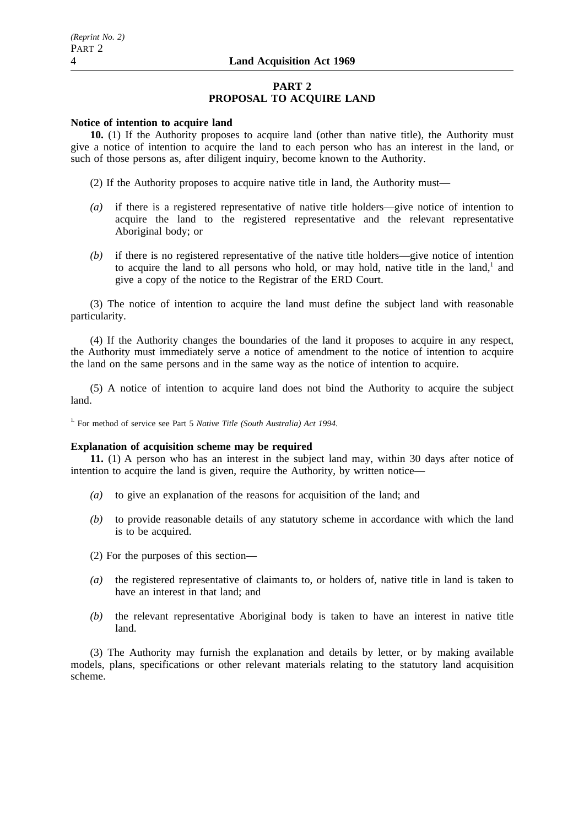## **PART 2 PROPOSAL TO ACQUIRE LAND**

#### **Notice of intention to acquire land**

**10.** (1) If the Authority proposes to acquire land (other than native title), the Authority must give a notice of intention to acquire the land to each person who has an interest in the land, or such of those persons as, after diligent inquiry, become known to the Authority.

(2) If the Authority proposes to acquire native title in land, the Authority must—

- *(a)* if there is a registered representative of native title holders—give notice of intention to acquire the land to the registered representative and the relevant representative Aboriginal body; or
- *(b)* if there is no registered representative of the native title holders—give notice of intention to acquire the land to all persons who hold, or may hold, native title in the land, $<sup>1</sup>$  and</sup> give a copy of the notice to the Registrar of the ERD Court.

(3) The notice of intention to acquire the land must define the subject land with reasonable particularity.

(4) If the Authority changes the boundaries of the land it proposes to acquire in any respect, the Authority must immediately serve a notice of amendment to the notice of intention to acquire the land on the same persons and in the same way as the notice of intention to acquire.

(5) A notice of intention to acquire land does not bind the Authority to acquire the subject land.

<sup>1.</sup> For method of service see Part 5 *Native Title (South Australia) Act 1994*.

## **Explanation of acquisition scheme may be required**

**11.** (1) A person who has an interest in the subject land may, within 30 days after notice of intention to acquire the land is given, require the Authority, by written notice—

- *(a)* to give an explanation of the reasons for acquisition of the land; and
- *(b)* to provide reasonable details of any statutory scheme in accordance with which the land is to be acquired.

(2) For the purposes of this section—

- *(a)* the registered representative of claimants to, or holders of, native title in land is taken to have an interest in that land; and
- *(b)* the relevant representative Aboriginal body is taken to have an interest in native title land.

(3) The Authority may furnish the explanation and details by letter, or by making available models, plans, specifications or other relevant materials relating to the statutory land acquisition scheme.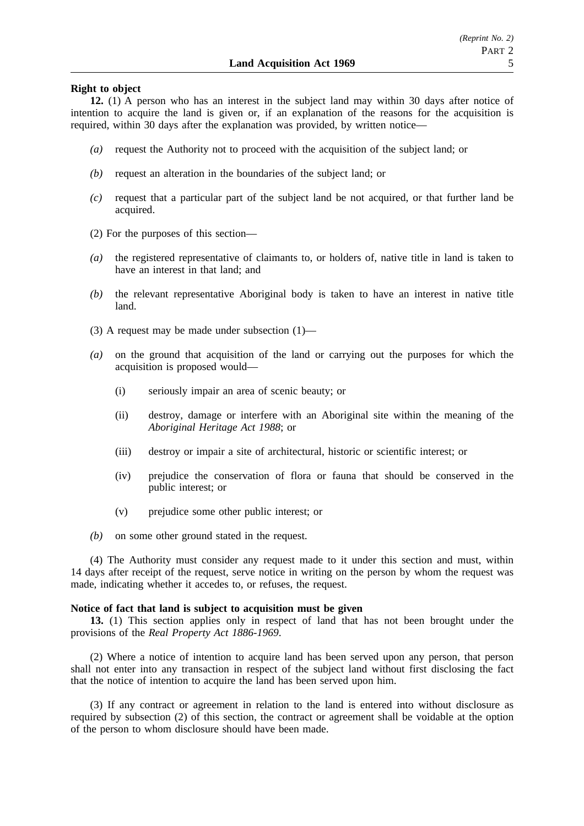## **Right to object**

**12.** (1) A person who has an interest in the subject land may within 30 days after notice of intention to acquire the land is given or, if an explanation of the reasons for the acquisition is required, within 30 days after the explanation was provided, by written notice—

- *(a)* request the Authority not to proceed with the acquisition of the subject land; or
- *(b)* request an alteration in the boundaries of the subject land; or
- *(c)* request that a particular part of the subject land be not acquired, or that further land be acquired.
- (2) For the purposes of this section—
- *(a)* the registered representative of claimants to, or holders of, native title in land is taken to have an interest in that land; and
- *(b)* the relevant representative Aboriginal body is taken to have an interest in native title land.
- (3) A request may be made under subsection (1)—
- *(a)* on the ground that acquisition of the land or carrying out the purposes for which the acquisition is proposed would—
	- (i) seriously impair an area of scenic beauty; or
	- (ii) destroy, damage or interfere with an Aboriginal site within the meaning of the *Aboriginal Heritage Act 1988*; or
	- (iii) destroy or impair a site of architectural, historic or scientific interest; or
	- (iv) prejudice the conservation of flora or fauna that should be conserved in the public interest; or
	- (v) prejudice some other public interest; or
- *(b)* on some other ground stated in the request.

(4) The Authority must consider any request made to it under this section and must, within 14 days after receipt of the request, serve notice in writing on the person by whom the request was made, indicating whether it accedes to, or refuses, the request.

## **Notice of fact that land is subject to acquisition must be given**

**13.** (1) This section applies only in respect of land that has not been brought under the provisions of the *Real Property Act 1886-1969*.

(2) Where a notice of intention to acquire land has been served upon any person, that person shall not enter into any transaction in respect of the subject land without first disclosing the fact that the notice of intention to acquire the land has been served upon him.

(3) If any contract or agreement in relation to the land is entered into without disclosure as required by subsection (2) of this section, the contract or agreement shall be voidable at the option of the person to whom disclosure should have been made.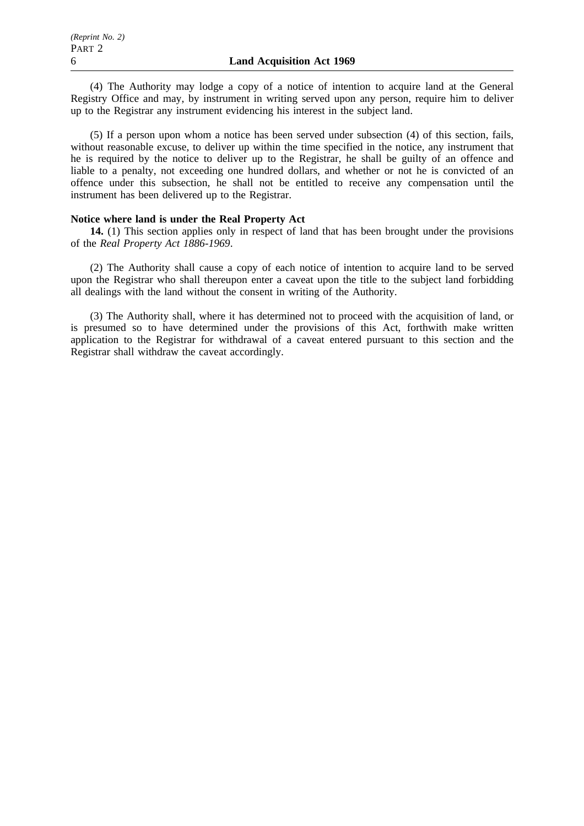(4) The Authority may lodge a copy of a notice of intention to acquire land at the General Registry Office and may, by instrument in writing served upon any person, require him to deliver up to the Registrar any instrument evidencing his interest in the subject land.

(5) If a person upon whom a notice has been served under subsection (4) of this section, fails, without reasonable excuse, to deliver up within the time specified in the notice, any instrument that he is required by the notice to deliver up to the Registrar, he shall be guilty of an offence and liable to a penalty, not exceeding one hundred dollars, and whether or not he is convicted of an offence under this subsection, he shall not be entitled to receive any compensation until the instrument has been delivered up to the Registrar.

## **Notice where land is under the Real Property Act**

**14.** (1) This section applies only in respect of land that has been brought under the provisions of the *Real Property Act 1886-1969*.

(2) The Authority shall cause a copy of each notice of intention to acquire land to be served upon the Registrar who shall thereupon enter a caveat upon the title to the subject land forbidding all dealings with the land without the consent in writing of the Authority.

(3) The Authority shall, where it has determined not to proceed with the acquisition of land, or is presumed so to have determined under the provisions of this Act, forthwith make written application to the Registrar for withdrawal of a caveat entered pursuant to this section and the Registrar shall withdraw the caveat accordingly.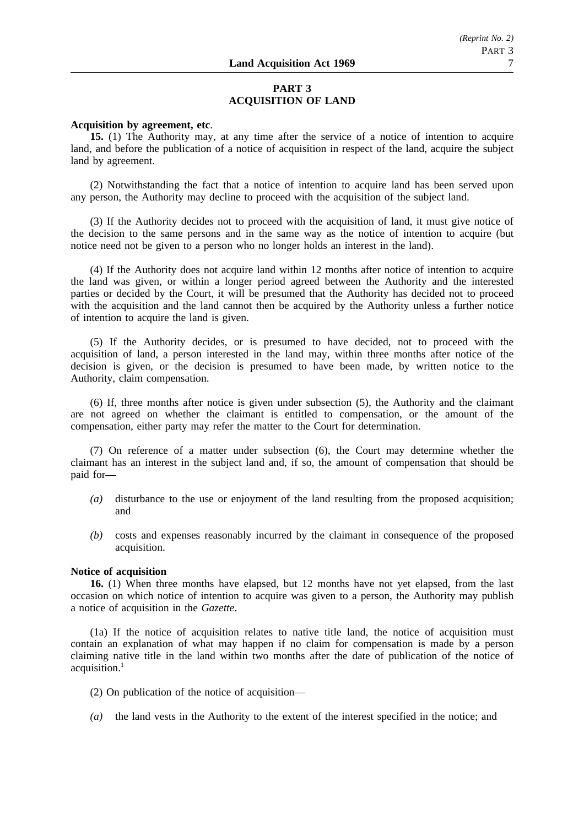## **PART 3 ACQUISITION OF LAND**

## **Acquisition by agreement, etc**.

**15.** (1) The Authority may, at any time after the service of a notice of intention to acquire land, and before the publication of a notice of acquisition in respect of the land, acquire the subject land by agreement.

(2) Notwithstanding the fact that a notice of intention to acquire land has been served upon any person, the Authority may decline to proceed with the acquisition of the subject land.

(3) If the Authority decides not to proceed with the acquisition of land, it must give notice of the decision to the same persons and in the same way as the notice of intention to acquire (but notice need not be given to a person who no longer holds an interest in the land).

(4) If the Authority does not acquire land within 12 months after notice of intention to acquire the land was given, or within a longer period agreed between the Authority and the interested parties or decided by the Court, it will be presumed that the Authority has decided not to proceed with the acquisition and the land cannot then be acquired by the Authority unless a further notice of intention to acquire the land is given.

(5) If the Authority decides, or is presumed to have decided, not to proceed with the acquisition of land, a person interested in the land may, within three months after notice of the decision is given, or the decision is presumed to have been made, by written notice to the Authority, claim compensation.

(6) If, three months after notice is given under subsection (5), the Authority and the claimant are not agreed on whether the claimant is entitled to compensation, or the amount of the compensation, either party may refer the matter to the Court for determination.

(7) On reference of a matter under subsection (6), the Court may determine whether the claimant has an interest in the subject land and, if so, the amount of compensation that should be paid for—

- *(a)* disturbance to the use or enjoyment of the land resulting from the proposed acquisition; and
- *(b)* costs and expenses reasonably incurred by the claimant in consequence of the proposed acquisition.

#### **Notice of acquisition**

**16.** (1) When three months have elapsed, but 12 months have not yet elapsed, from the last occasion on which notice of intention to acquire was given to a person, the Authority may publish a notice of acquisition in the *Gazette*.

(1a) If the notice of acquisition relates to native title land, the notice of acquisition must contain an explanation of what may happen if no claim for compensation is made by a person claiming native title in the land within two months after the date of publication of the notice of acquisition.<sup>1</sup>

- (2) On publication of the notice of acquisition—
- *(a)* the land vests in the Authority to the extent of the interest specified in the notice; and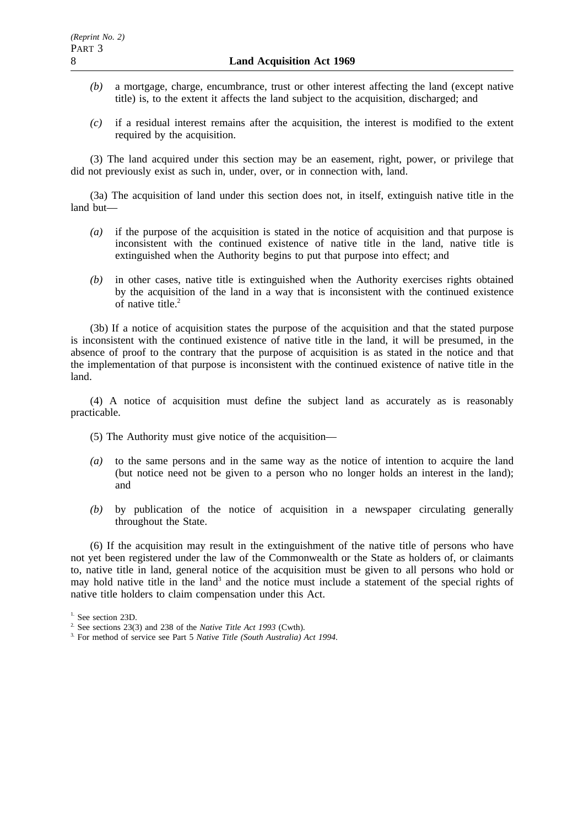- *(b)* a mortgage, charge, encumbrance, trust or other interest affecting the land (except native title) is, to the extent it affects the land subject to the acquisition, discharged; and
- *(c)* if a residual interest remains after the acquisition, the interest is modified to the extent required by the acquisition.

(3) The land acquired under this section may be an easement, right, power, or privilege that did not previously exist as such in, under, over, or in connection with, land.

(3a) The acquisition of land under this section does not, in itself, extinguish native title in the land but—

- *(a)* if the purpose of the acquisition is stated in the notice of acquisition and that purpose is inconsistent with the continued existence of native title in the land, native title is extinguished when the Authority begins to put that purpose into effect; and
- *(b)* in other cases, native title is extinguished when the Authority exercises rights obtained by the acquisition of the land in a way that is inconsistent with the continued existence of native title.<sup>2</sup>

(3b) If a notice of acquisition states the purpose of the acquisition and that the stated purpose is inconsistent with the continued existence of native title in the land, it will be presumed, in the absence of proof to the contrary that the purpose of acquisition is as stated in the notice and that the implementation of that purpose is inconsistent with the continued existence of native title in the land.

(4) A notice of acquisition must define the subject land as accurately as is reasonably practicable.

- (5) The Authority must give notice of the acquisition—
- *(a)* to the same persons and in the same way as the notice of intention to acquire the land (but notice need not be given to a person who no longer holds an interest in the land); and
- *(b)* by publication of the notice of acquisition in a newspaper circulating generally throughout the State.

(6) If the acquisition may result in the extinguishment of the native title of persons who have not yet been registered under the law of the Commonwealth or the State as holders of, or claimants to, native title in land, general notice of the acquisition must be given to all persons who hold or may hold native title in the land<sup>3</sup> and the notice must include a statement of the special rights of native title holders to claim compensation under this Act.

<sup>&</sup>lt;sup>1.</sup> See section 23D.

<sup>2.</sup> See sections 23(3) and 238 of the *Native Title Act 1993* (Cwth).

<sup>3.</sup> For method of service see Part 5 *Native Title (South Australia) Act 1994*.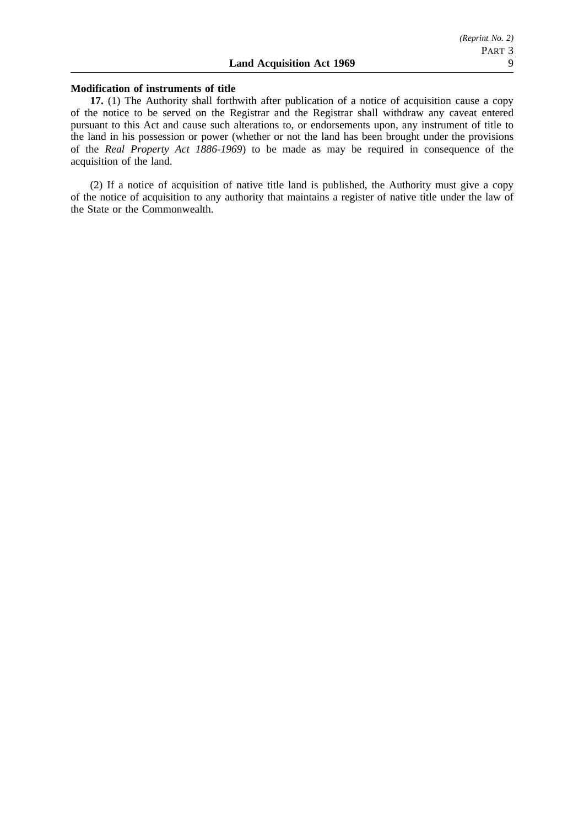#### **Modification of instruments of title**

**17.** (1) The Authority shall forthwith after publication of a notice of acquisition cause a copy of the notice to be served on the Registrar and the Registrar shall withdraw any caveat entered pursuant to this Act and cause such alterations to, or endorsements upon, any instrument of title to the land in his possession or power (whether or not the land has been brought under the provisions of the *Real Property Act 1886-1969*) to be made as may be required in consequence of the acquisition of the land.

(2) If a notice of acquisition of native title land is published, the Authority must give a copy of the notice of acquisition to any authority that maintains a register of native title under the law of the State or the Commonwealth.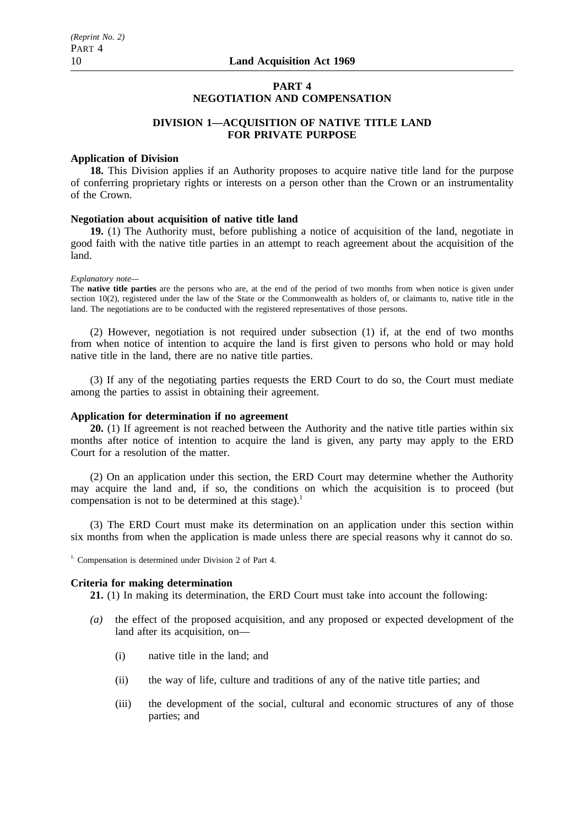## **PART 4 NEGOTIATION AND COMPENSATION**

## **DIVISION 1—ACQUISITION OF NATIVE TITLE LAND FOR PRIVATE PURPOSE**

#### **Application of Division**

**18.** This Division applies if an Authority proposes to acquire native title land for the purpose of conferring proprietary rights or interests on a person other than the Crown or an instrumentality of the Crown.

## **Negotiation about acquisition of native title land**

**19.** (1) The Authority must, before publishing a notice of acquisition of the land, negotiate in good faith with the native title parties in an attempt to reach agreement about the acquisition of the land.

#### *Explanatory note—*

The **native title parties** are the persons who are, at the end of the period of two months from when notice is given under section 10(2), registered under the law of the State or the Commonwealth as holders of, or claimants to, native title in the land. The negotiations are to be conducted with the registered representatives of those persons.

(2) However, negotiation is not required under subsection (1) if, at the end of two months from when notice of intention to acquire the land is first given to persons who hold or may hold native title in the land, there are no native title parties.

(3) If any of the negotiating parties requests the ERD Court to do so, the Court must mediate among the parties to assist in obtaining their agreement.

#### **Application for determination if no agreement**

**20.** (1) If agreement is not reached between the Authority and the native title parties within six months after notice of intention to acquire the land is given, any party may apply to the ERD Court for a resolution of the matter.

(2) On an application under this section, the ERD Court may determine whether the Authority may acquire the land and, if so, the conditions on which the acquisition is to proceed (but compensation is not to be determined at this stage).<sup>1</sup>

(3) The ERD Court must make its determination on an application under this section within six months from when the application is made unless there are special reasons why it cannot do so.

<sup>1.</sup> Compensation is determined under Division 2 of Part 4.

#### **Criteria for making determination**

**21.** (1) In making its determination, the ERD Court must take into account the following:

- *(a)* the effect of the proposed acquisition, and any proposed or expected development of the land after its acquisition, on—
	- (i) native title in the land; and
	- (ii) the way of life, culture and traditions of any of the native title parties; and
	- (iii) the development of the social, cultural and economic structures of any of those parties; and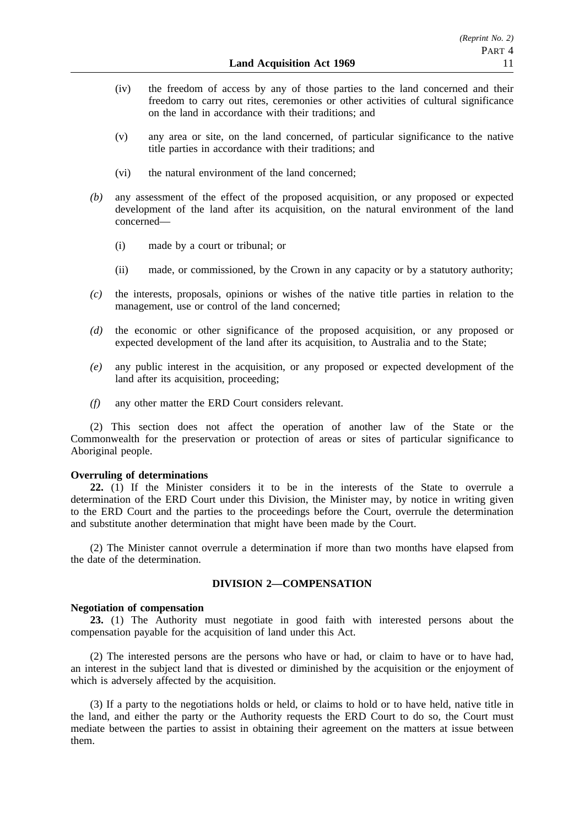- (iv) the freedom of access by any of those parties to the land concerned and their freedom to carry out rites, ceremonies or other activities of cultural significance on the land in accordance with their traditions; and
- (v) any area or site, on the land concerned, of particular significance to the native title parties in accordance with their traditions; and
- (vi) the natural environment of the land concerned;
- *(b)* any assessment of the effect of the proposed acquisition, or any proposed or expected development of the land after its acquisition, on the natural environment of the land concerned—
	- (i) made by a court or tribunal; or
	- (ii) made, or commissioned, by the Crown in any capacity or by a statutory authority;
- *(c)* the interests, proposals, opinions or wishes of the native title parties in relation to the management, use or control of the land concerned;
- *(d)* the economic or other significance of the proposed acquisition, or any proposed or expected development of the land after its acquisition, to Australia and to the State;
- *(e)* any public interest in the acquisition, or any proposed or expected development of the land after its acquisition, proceeding;
- *(f)* any other matter the ERD Court considers relevant.

(2) This section does not affect the operation of another law of the State or the Commonwealth for the preservation or protection of areas or sites of particular significance to Aboriginal people.

#### **Overruling of determinations**

**22.** (1) If the Minister considers it to be in the interests of the State to overrule a determination of the ERD Court under this Division, the Minister may, by notice in writing given to the ERD Court and the parties to the proceedings before the Court, overrule the determination and substitute another determination that might have been made by the Court.

(2) The Minister cannot overrule a determination if more than two months have elapsed from the date of the determination.

## **DIVISION 2—COMPENSATION**

#### **Negotiation of compensation**

**23.** (1) The Authority must negotiate in good faith with interested persons about the compensation payable for the acquisition of land under this Act.

(2) The interested persons are the persons who have or had, or claim to have or to have had, an interest in the subject land that is divested or diminished by the acquisition or the enjoyment of which is adversely affected by the acquisition.

(3) If a party to the negotiations holds or held, or claims to hold or to have held, native title in the land, and either the party or the Authority requests the ERD Court to do so, the Court must mediate between the parties to assist in obtaining their agreement on the matters at issue between them.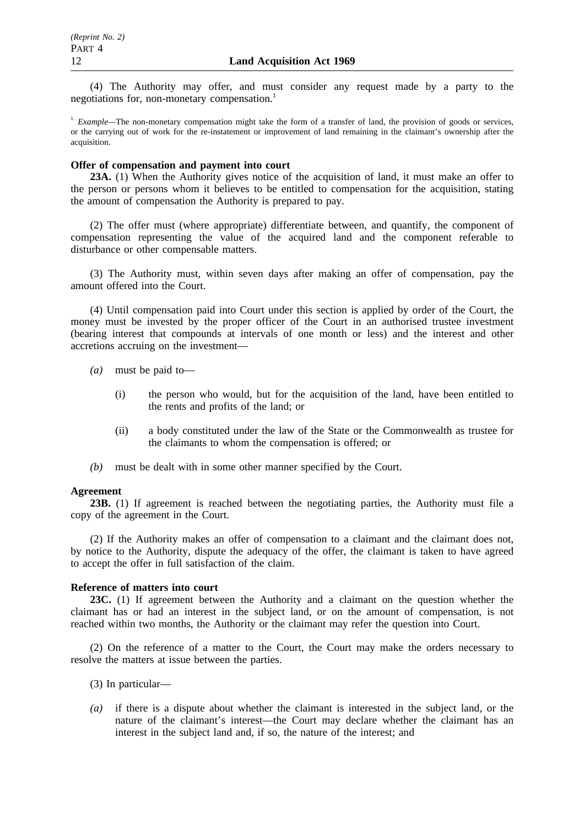(4) The Authority may offer, and must consider any request made by a party to the negotiations for, non-monetary compensation.<sup>1</sup>

<sup>1.</sup> *Example*—The non-monetary compensation might take the form of a transfer of land, the provision of goods or services, or the carrying out of work for the re-instatement or improvement of land remaining in the claimant's ownership after the acquisition.

## **Offer of compensation and payment into court**

**23A.** (1) When the Authority gives notice of the acquisition of land, it must make an offer to the person or persons whom it believes to be entitled to compensation for the acquisition, stating the amount of compensation the Authority is prepared to pay.

(2) The offer must (where appropriate) differentiate between, and quantify, the component of compensation representing the value of the acquired land and the component referable to disturbance or other compensable matters.

(3) The Authority must, within seven days after making an offer of compensation, pay the amount offered into the Court.

(4) Until compensation paid into Court under this section is applied by order of the Court, the money must be invested by the proper officer of the Court in an authorised trustee investment (bearing interest that compounds at intervals of one month or less) and the interest and other accretions accruing on the investment—

- *(a)* must be paid to—
	- (i) the person who would, but for the acquisition of the land, have been entitled to the rents and profits of the land; or
	- (ii) a body constituted under the law of the State or the Commonwealth as trustee for the claimants to whom the compensation is offered; or
- *(b)* must be dealt with in some other manner specified by the Court.

#### **Agreement**

**23B.** (1) If agreement is reached between the negotiating parties, the Authority must file a copy of the agreement in the Court.

(2) If the Authority makes an offer of compensation to a claimant and the claimant does not, by notice to the Authority, dispute the adequacy of the offer, the claimant is taken to have agreed to accept the offer in full satisfaction of the claim.

#### **Reference of matters into court**

**23C.** (1) If agreement between the Authority and a claimant on the question whether the claimant has or had an interest in the subject land, or on the amount of compensation, is not reached within two months, the Authority or the claimant may refer the question into Court.

(2) On the reference of a matter to the Court, the Court may make the orders necessary to resolve the matters at issue between the parties.

- (3) In particular—
- *(a)* if there is a dispute about whether the claimant is interested in the subject land, or the nature of the claimant's interest—the Court may declare whether the claimant has an interest in the subject land and, if so, the nature of the interest; and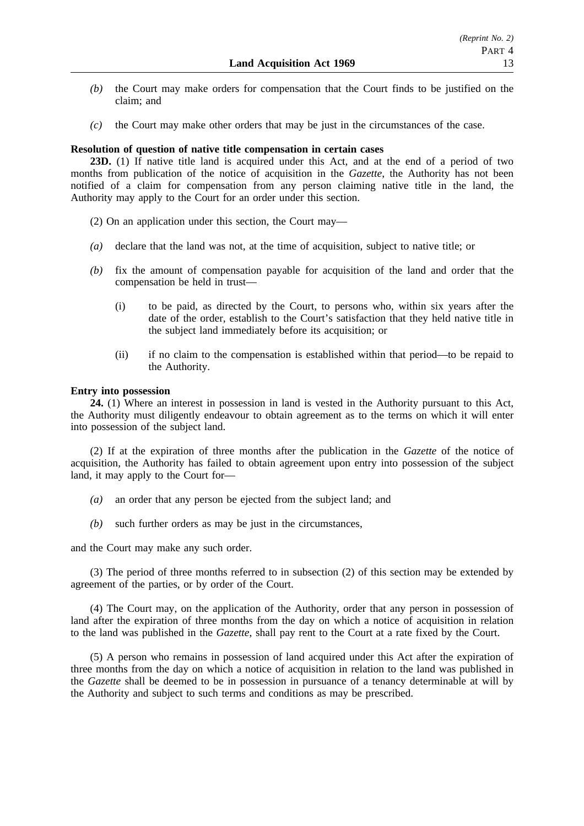- *(b)* the Court may make orders for compensation that the Court finds to be justified on the claim; and
- *(c)* the Court may make other orders that may be just in the circumstances of the case.

### **Resolution of question of native title compensation in certain cases**

**23D.** (1) If native title land is acquired under this Act, and at the end of a period of two months from publication of the notice of acquisition in the *Gazette*, the Authority has not been notified of a claim for compensation from any person claiming native title in the land, the Authority may apply to the Court for an order under this section.

- (2) On an application under this section, the Court may—
- *(a)* declare that the land was not, at the time of acquisition, subject to native title; or
- *(b)* fix the amount of compensation payable for acquisition of the land and order that the compensation be held in trust—
	- (i) to be paid, as directed by the Court, to persons who, within six years after the date of the order, establish to the Court's satisfaction that they held native title in the subject land immediately before its acquisition; or
	- (ii) if no claim to the compensation is established within that period—to be repaid to the Authority.

### **Entry into possession**

**24.** (1) Where an interest in possession in land is vested in the Authority pursuant to this Act, the Authority must diligently endeavour to obtain agreement as to the terms on which it will enter into possession of the subject land.

(2) If at the expiration of three months after the publication in the *Gazette* of the notice of acquisition, the Authority has failed to obtain agreement upon entry into possession of the subject land, it may apply to the Court for—

- *(a)* an order that any person be ejected from the subject land; and
- *(b)* such further orders as may be just in the circumstances,

and the Court may make any such order.

(3) The period of three months referred to in subsection (2) of this section may be extended by agreement of the parties, or by order of the Court.

(4) The Court may, on the application of the Authority, order that any person in possession of land after the expiration of three months from the day on which a notice of acquisition in relation to the land was published in the *Gazette*, shall pay rent to the Court at a rate fixed by the Court.

(5) A person who remains in possession of land acquired under this Act after the expiration of three months from the day on which a notice of acquisition in relation to the land was published in the *Gazette* shall be deemed to be in possession in pursuance of a tenancy determinable at will by the Authority and subject to such terms and conditions as may be prescribed.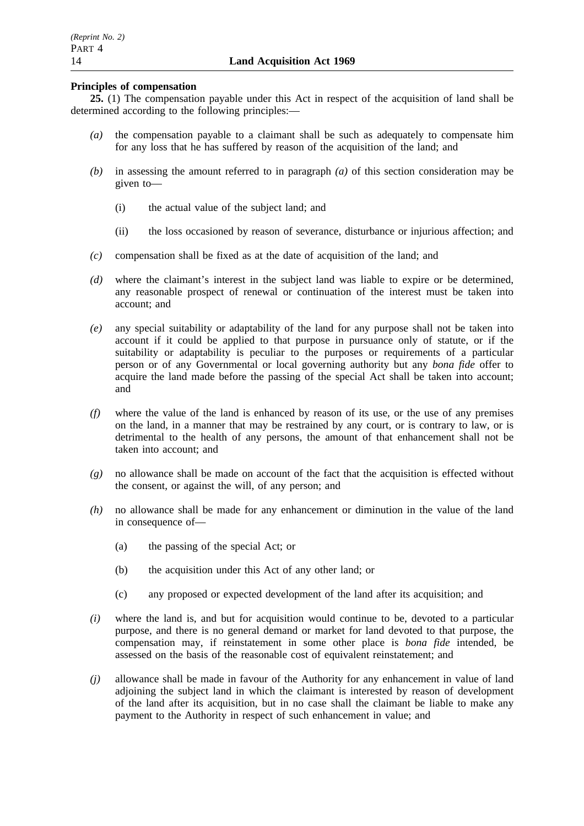## **Principles of compensation**

**25.** (1) The compensation payable under this Act in respect of the acquisition of land shall be determined according to the following principles:—

- *(a)* the compensation payable to a claimant shall be such as adequately to compensate him for any loss that he has suffered by reason of the acquisition of the land; and
- *(b)* in assessing the amount referred to in paragraph *(a)* of this section consideration may be given to—
	- (i) the actual value of the subject land; and
	- (ii) the loss occasioned by reason of severance, disturbance or injurious affection; and
- *(c)* compensation shall be fixed as at the date of acquisition of the land; and
- *(d)* where the claimant's interest in the subject land was liable to expire or be determined, any reasonable prospect of renewal or continuation of the interest must be taken into account; and
- *(e)* any special suitability or adaptability of the land for any purpose shall not be taken into account if it could be applied to that purpose in pursuance only of statute, or if the suitability or adaptability is peculiar to the purposes or requirements of a particular person or of any Governmental or local governing authority but any *bona fide* offer to acquire the land made before the passing of the special Act shall be taken into account; and
- *(f)* where the value of the land is enhanced by reason of its use, or the use of any premises on the land, in a manner that may be restrained by any court, or is contrary to law, or is detrimental to the health of any persons, the amount of that enhancement shall not be taken into account; and
- *(g)* no allowance shall be made on account of the fact that the acquisition is effected without the consent, or against the will, of any person; and
- *(h)* no allowance shall be made for any enhancement or diminution in the value of the land in consequence of—
	- (a) the passing of the special Act; or
	- (b) the acquisition under this Act of any other land; or
	- (c) any proposed or expected development of the land after its acquisition; and
- *(i)* where the land is, and but for acquisition would continue to be, devoted to a particular purpose, and there is no general demand or market for land devoted to that purpose, the compensation may, if reinstatement in some other place is *bona fide* intended, be assessed on the basis of the reasonable cost of equivalent reinstatement; and
- *(j)* allowance shall be made in favour of the Authority for any enhancement in value of land adjoining the subject land in which the claimant is interested by reason of development of the land after its acquisition, but in no case shall the claimant be liable to make any payment to the Authority in respect of such enhancement in value; and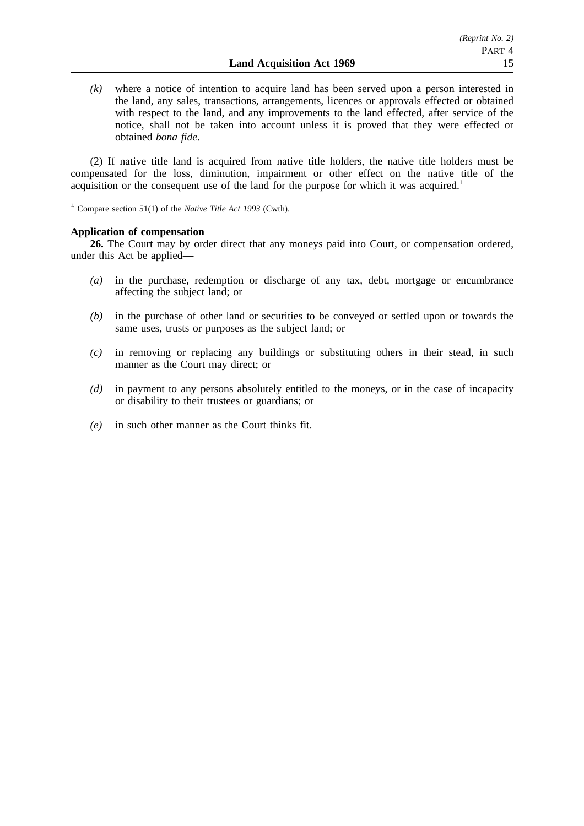*(k)* where a notice of intention to acquire land has been served upon a person interested in the land, any sales, transactions, arrangements, licences or approvals effected or obtained with respect to the land, and any improvements to the land effected, after service of the notice, shall not be taken into account unless it is proved that they were effected or obtained *bona fide*.

(2) If native title land is acquired from native title holders, the native title holders must be compensated for the loss, diminution, impairment or other effect on the native title of the acquisition or the consequent use of the land for the purpose for which it was acquired.<sup>1</sup>

1. Compare section 51(1) of the *Native Title Act 1993* (Cwth).

## **Application of compensation**

**26.** The Court may by order direct that any moneys paid into Court, or compensation ordered, under this Act be applied—

- *(a)* in the purchase, redemption or discharge of any tax, debt, mortgage or encumbrance affecting the subject land; or
- *(b)* in the purchase of other land or securities to be conveyed or settled upon or towards the same uses, trusts or purposes as the subject land; or
- *(c)* in removing or replacing any buildings or substituting others in their stead, in such manner as the Court may direct; or
- *(d)* in payment to any persons absolutely entitled to the moneys, or in the case of incapacity or disability to their trustees or guardians; or
- *(e)* in such other manner as the Court thinks fit.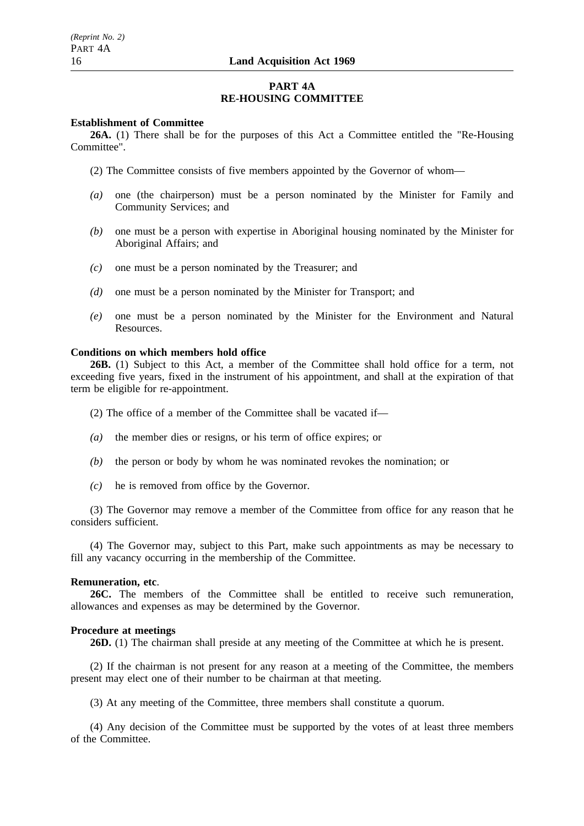## **PART 4A RE-HOUSING COMMITTEE**

### **Establishment of Committee**

**26A.** (1) There shall be for the purposes of this Act a Committee entitled the "Re-Housing Committee".

- (2) The Committee consists of five members appointed by the Governor of whom—
- *(a)* one (the chairperson) must be a person nominated by the Minister for Family and Community Services; and
- *(b)* one must be a person with expertise in Aboriginal housing nominated by the Minister for Aboriginal Affairs; and
- *(c)* one must be a person nominated by the Treasurer; and
- *(d)* one must be a person nominated by the Minister for Transport; and
- *(e)* one must be a person nominated by the Minister for the Environment and Natural Resources.

#### **Conditions on which members hold office**

**26B.** (1) Subject to this Act, a member of the Committee shall hold office for a term, not exceeding five years, fixed in the instrument of his appointment, and shall at the expiration of that term be eligible for re-appointment.

- (2) The office of a member of the Committee shall be vacated if—
- *(a)* the member dies or resigns, or his term of office expires; or
- *(b)* the person or body by whom he was nominated revokes the nomination; or
- *(c)* he is removed from office by the Governor.

(3) The Governor may remove a member of the Committee from office for any reason that he considers sufficient.

(4) The Governor may, subject to this Part, make such appointments as may be necessary to fill any vacancy occurring in the membership of the Committee.

#### **Remuneration, etc**.

**26C.** The members of the Committee shall be entitled to receive such remuneration, allowances and expenses as may be determined by the Governor.

#### **Procedure at meetings**

**26D.** (1) The chairman shall preside at any meeting of the Committee at which he is present.

(2) If the chairman is not present for any reason at a meeting of the Committee, the members present may elect one of their number to be chairman at that meeting.

(3) At any meeting of the Committee, three members shall constitute a quorum.

(4) Any decision of the Committee must be supported by the votes of at least three members of the Committee.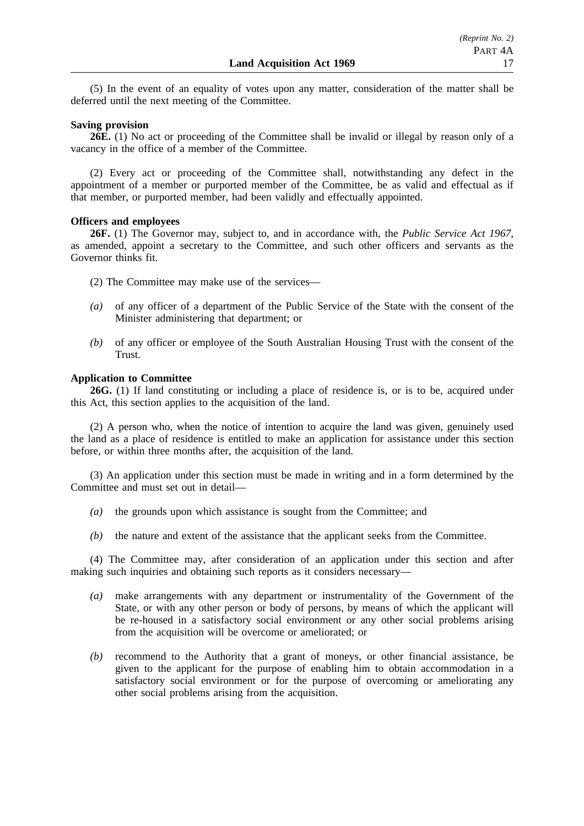(5) In the event of an equality of votes upon any matter, consideration of the matter shall be deferred until the next meeting of the Committee.

#### **Saving provision**

**26E.** (1) No act or proceeding of the Committee shall be invalid or illegal by reason only of a vacancy in the office of a member of the Committee.

(2) Every act or proceeding of the Committee shall, notwithstanding any defect in the appointment of a member or purported member of the Committee, be as valid and effectual as if that member, or purported member, had been validly and effectually appointed.

### **Officers and employees**

**26F.** (1) The Governor may, subject to, and in accordance with, the *Public Service Act 1967*, as amended, appoint a secretary to the Committee, and such other officers and servants as the Governor thinks fit.

- (2) The Committee may make use of the services—
- *(a)* of any officer of a department of the Public Service of the State with the consent of the Minister administering that department; or
- *(b)* of any officer or employee of the South Australian Housing Trust with the consent of the Trust.

### **Application to Committee**

**26G.** (1) If land constituting or including a place of residence is, or is to be, acquired under this Act, this section applies to the acquisition of the land.

(2) A person who, when the notice of intention to acquire the land was given, genuinely used the land as a place of residence is entitled to make an application for assistance under this section before, or within three months after, the acquisition of the land.

(3) An application under this section must be made in writing and in a form determined by the Committee and must set out in detail—

- *(a)* the grounds upon which assistance is sought from the Committee; and
- *(b)* the nature and extent of the assistance that the applicant seeks from the Committee.

(4) The Committee may, after consideration of an application under this section and after making such inquiries and obtaining such reports as it considers necessary—

- *(a)* make arrangements with any department or instrumentality of the Government of the State, or with any other person or body of persons, by means of which the applicant will be re-housed in a satisfactory social environment or any other social problems arising from the acquisition will be overcome or ameliorated; or
- *(b)* recommend to the Authority that a grant of moneys, or other financial assistance, be given to the applicant for the purpose of enabling him to obtain accommodation in a satisfactory social environment or for the purpose of overcoming or ameliorating any other social problems arising from the acquisition.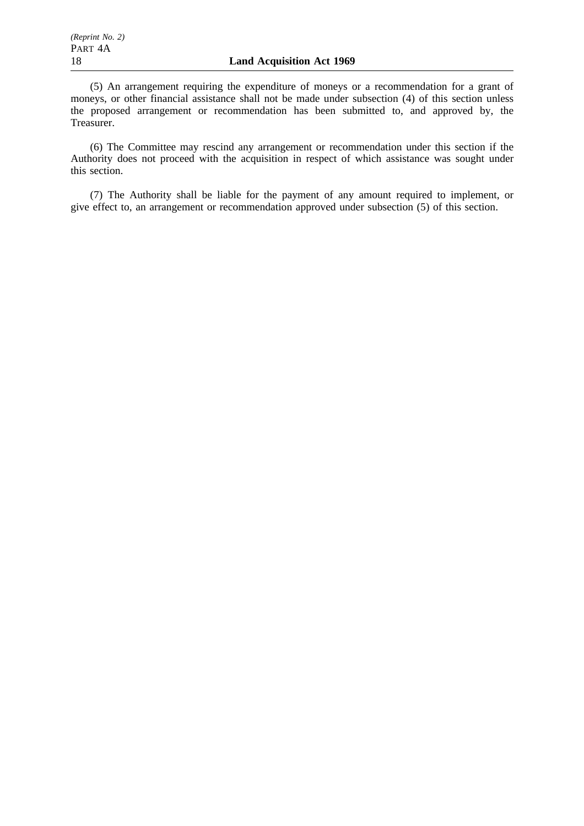(5) An arrangement requiring the expenditure of moneys or a recommendation for a grant of moneys, or other financial assistance shall not be made under subsection (4) of this section unless the proposed arrangement or recommendation has been submitted to, and approved by, the Treasurer.

(6) The Committee may rescind any arrangement or recommendation under this section if the Authority does not proceed with the acquisition in respect of which assistance was sought under this section.

(7) The Authority shall be liable for the payment of any amount required to implement, or give effect to, an arrangement or recommendation approved under subsection (5) of this section.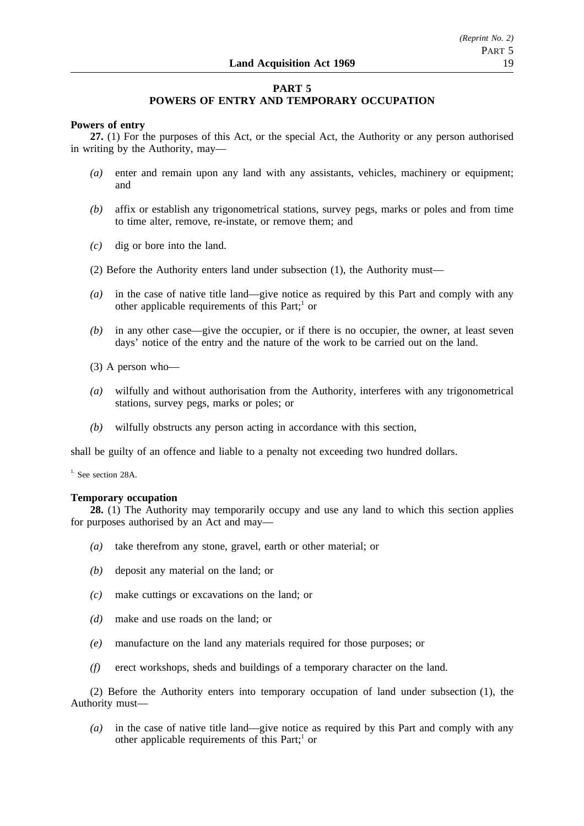## **PART 5**

## **POWERS OF ENTRY AND TEMPORARY OCCUPATION**

## **Powers of entry**

**27.** (1) For the purposes of this Act, or the special Act, the Authority or any person authorised in writing by the Authority, may—

- *(a)* enter and remain upon any land with any assistants, vehicles, machinery or equipment; and
- *(b)* affix or establish any trigonometrical stations, survey pegs, marks or poles and from time to time alter, remove, re-instate, or remove them; and
- *(c)* dig or bore into the land.
- (2) Before the Authority enters land under subsection (1), the Authority must—
- *(a)* in the case of native title land—give notice as required by this Part and comply with any other applicable requirements of this Part; $<sup>1</sup>$  or</sup>
- *(b)* in any other case—give the occupier, or if there is no occupier, the owner, at least seven days' notice of the entry and the nature of the work to be carried out on the land.
- (3) A person who—
- *(a)* wilfully and without authorisation from the Authority, interferes with any trigonometrical stations, survey pegs, marks or poles; or
- *(b)* wilfully obstructs any person acting in accordance with this section,

shall be guilty of an offence and liable to a penalty not exceeding two hundred dollars.

 $<sup>1</sup>$ . See section 28A.</sup>

## **Temporary occupation**

**28.** (1) The Authority may temporarily occupy and use any land to which this section applies for purposes authorised by an Act and may—

- *(a)* take therefrom any stone, gravel, earth or other material; or
- *(b)* deposit any material on the land; or
- *(c)* make cuttings or excavations on the land; or
- *(d)* make and use roads on the land; or
- *(e)* manufacture on the land any materials required for those purposes; or
- *(f)* erect workshops, sheds and buildings of a temporary character on the land.

(2) Before the Authority enters into temporary occupation of land under subsection (1), the Authority must—

*(a)* in the case of native title land—give notice as required by this Part and comply with any other applicable requirements of this Part; $<sup>1</sup>$  or</sup>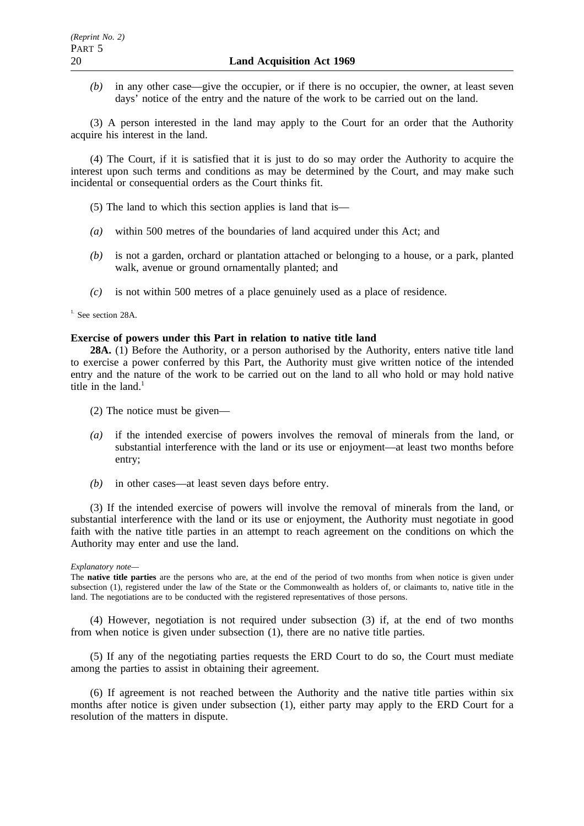*(b)* in any other case—give the occupier, or if there is no occupier, the owner, at least seven days' notice of the entry and the nature of the work to be carried out on the land.

(3) A person interested in the land may apply to the Court for an order that the Authority acquire his interest in the land.

(4) The Court, if it is satisfied that it is just to do so may order the Authority to acquire the interest upon such terms and conditions as may be determined by the Court, and may make such incidental or consequential orders as the Court thinks fit.

- (5) The land to which this section applies is land that is—
- *(a)* within 500 metres of the boundaries of land acquired under this Act; and
- *(b)* is not a garden, orchard or plantation attached or belonging to a house, or a park, planted walk, avenue or ground ornamentally planted; and
- *(c)* is not within 500 metres of a place genuinely used as a place of residence.

<sup>1.</sup> See section 28A.

#### **Exercise of powers under this Part in relation to native title land**

**28A.** (1) Before the Authority, or a person authorised by the Authority, enters native title land to exercise a power conferred by this Part, the Authority must give written notice of the intended entry and the nature of the work to be carried out on the land to all who hold or may hold native title in the land. $<sup>1</sup>$ </sup>

- (2) The notice must be given—
- *(a)* if the intended exercise of powers involves the removal of minerals from the land, or substantial interference with the land or its use or enjoyment—at least two months before entry;
- *(b)* in other cases—at least seven days before entry.

(3) If the intended exercise of powers will involve the removal of minerals from the land, or substantial interference with the land or its use or enjoyment, the Authority must negotiate in good faith with the native title parties in an attempt to reach agreement on the conditions on which the Authority may enter and use the land.

#### *Explanatory note—*

The **native title parties** are the persons who are, at the end of the period of two months from when notice is given under subsection (1), registered under the law of the State or the Commonwealth as holders of, or claimants to, native title in the land. The negotiations are to be conducted with the registered representatives of those persons.

(4) However, negotiation is not required under subsection (3) if, at the end of two months from when notice is given under subsection (1), there are no native title parties.

(5) If any of the negotiating parties requests the ERD Court to do so, the Court must mediate among the parties to assist in obtaining their agreement.

(6) If agreement is not reached between the Authority and the native title parties within six months after notice is given under subsection (1), either party may apply to the ERD Court for a resolution of the matters in dispute.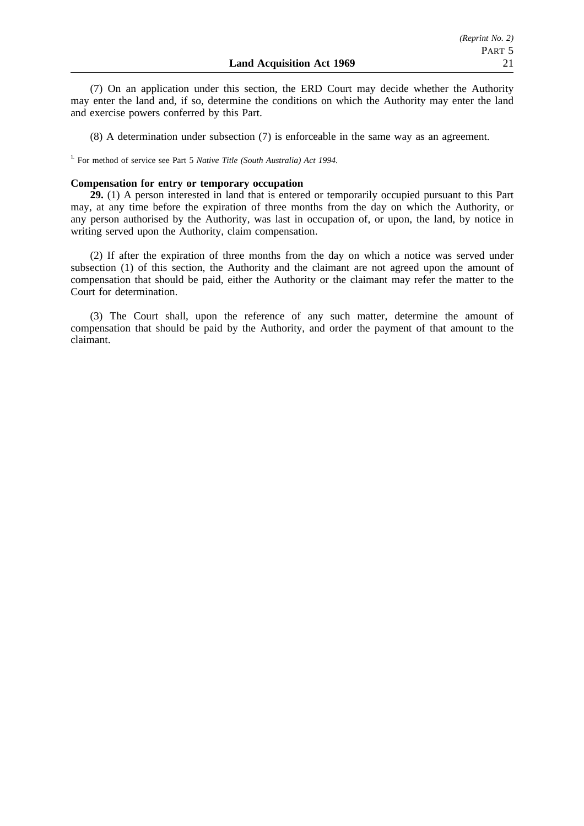(7) On an application under this section, the ERD Court may decide whether the Authority may enter the land and, if so, determine the conditions on which the Authority may enter the land and exercise powers conferred by this Part.

(8) A determination under subsection (7) is enforceable in the same way as an agreement.

<sup>1.</sup> For method of service see Part 5 *Native Title (South Australia) Act 1994*.

## **Compensation for entry or temporary occupation**

**29.** (1) A person interested in land that is entered or temporarily occupied pursuant to this Part may, at any time before the expiration of three months from the day on which the Authority, or any person authorised by the Authority, was last in occupation of, or upon, the land, by notice in writing served upon the Authority, claim compensation.

(2) If after the expiration of three months from the day on which a notice was served under subsection (1) of this section, the Authority and the claimant are not agreed upon the amount of compensation that should be paid, either the Authority or the claimant may refer the matter to the Court for determination.

(3) The Court shall, upon the reference of any such matter, determine the amount of compensation that should be paid by the Authority, and order the payment of that amount to the claimant.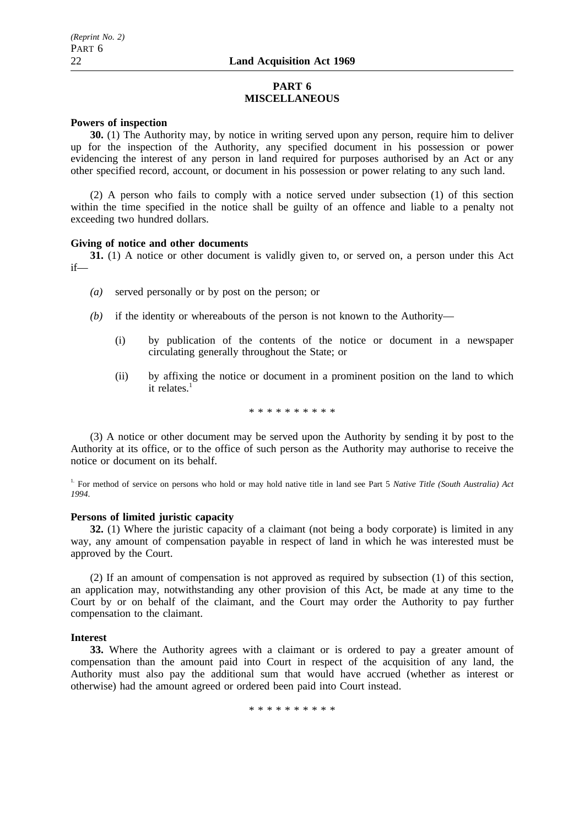## **PART 6 MISCELLANEOUS**

## **Powers of inspection**

**30.** (1) The Authority may, by notice in writing served upon any person, require him to deliver up for the inspection of the Authority, any specified document in his possession or power evidencing the interest of any person in land required for purposes authorised by an Act or any other specified record, account, or document in his possession or power relating to any such land.

(2) A person who fails to comply with a notice served under subsection (1) of this section within the time specified in the notice shall be guilty of an offence and liable to a penalty not exceeding two hundred dollars.

## **Giving of notice and other documents**

**31.** (1) A notice or other document is validly given to, or served on, a person under this Act if—

- *(a)* served personally or by post on the person; or
- *(b)* if the identity or whereabouts of the person is not known to the Authority—
	- (i) by publication of the contents of the notice or document in a newspaper circulating generally throughout the State; or
	- (ii) by affixing the notice or document in a prominent position on the land to which it relates. $<sup>1</sup>$ </sup>

\*\*\*\*\*\*\*\*\*\*

(3) A notice or other document may be served upon the Authority by sending it by post to the Authority at its office, or to the office of such person as the Authority may authorise to receive the notice or document on its behalf.

<sup>1.</sup> For method of service on persons who hold or may hold native title in land see Part 5 *Native Title (South Australia) Act 1994*.

## **Persons of limited juristic capacity**

**32.** (1) Where the juristic capacity of a claimant (not being a body corporate) is limited in any way, any amount of compensation payable in respect of land in which he was interested must be approved by the Court.

(2) If an amount of compensation is not approved as required by subsection (1) of this section, an application may, notwithstanding any other provision of this Act, be made at any time to the Court by or on behalf of the claimant, and the Court may order the Authority to pay further compensation to the claimant.

## **Interest**

**33.** Where the Authority agrees with a claimant or is ordered to pay a greater amount of compensation than the amount paid into Court in respect of the acquisition of any land, the Authority must also pay the additional sum that would have accrued (whether as interest or otherwise) had the amount agreed or ordered been paid into Court instead.

\*\*\*\*\*\*\*\*\*\*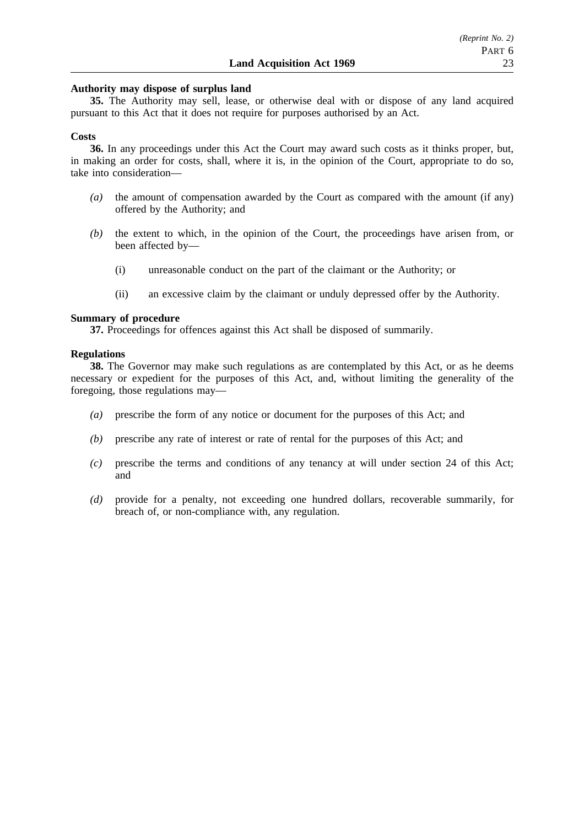### **Authority may dispose of surplus land**

**35.** The Authority may sell, lease, or otherwise deal with or dispose of any land acquired pursuant to this Act that it does not require for purposes authorised by an Act.

#### **Costs**

**36.** In any proceedings under this Act the Court may award such costs as it thinks proper, but, in making an order for costs, shall, where it is, in the opinion of the Court, appropriate to do so, take into consideration—

- *(a)* the amount of compensation awarded by the Court as compared with the amount (if any) offered by the Authority; and
- *(b)* the extent to which, in the opinion of the Court, the proceedings have arisen from, or been affected by—
	- (i) unreasonable conduct on the part of the claimant or the Authority; or
	- (ii) an excessive claim by the claimant or unduly depressed offer by the Authority.

#### **Summary of procedure**

**37.** Proceedings for offences against this Act shall be disposed of summarily.

#### **Regulations**

**38.** The Governor may make such regulations as are contemplated by this Act, or as he deems necessary or expedient for the purposes of this Act, and, without limiting the generality of the foregoing, those regulations may—

- *(a)* prescribe the form of any notice or document for the purposes of this Act; and
- *(b)* prescribe any rate of interest or rate of rental for the purposes of this Act; and
- *(c)* prescribe the terms and conditions of any tenancy at will under section 24 of this Act; and
- *(d)* provide for a penalty, not exceeding one hundred dollars, recoverable summarily, for breach of, or non-compliance with, any regulation.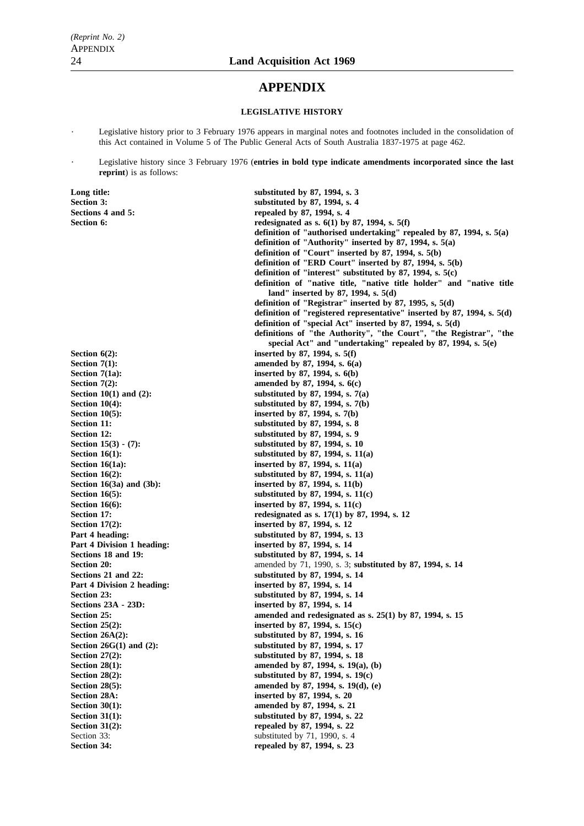## **APPENDIX**

#### **LEGISLATIVE HISTORY**

Legislative history prior to 3 February 1976 appears in marginal notes and footnotes included in the consolidation of this Act contained in Volume 5 of The Public General Acts of South Australia 1837-1975 at page 462.

Legislative history since 3 February 1976 (**entries in bold type indicate amendments incorporated since the last reprint**) is as follows:

**Long title:** substituted by 87, 1994, s. 3<br>Section 3: substituted by 87, 1994, s. 3 **Section 3: substituted by 87, 1994, s. 4** Sections 4 and 5: **repealed by 87, 1994, s. 4 Section 6: redesignated as s. 6(1) by 87, 1994, s. 5(f) definition of "authorised undertaking" repealed by 87, 1994, s. 5(a) definition of "Authority" inserted by 87, 1994, s. 5(a) definition of "Court" inserted by 87, 1994, s. 5(b) definition of "ERD Court" inserted by 87, 1994, s. 5(b) definition of "interest" substituted by 87, 1994, s. 5(c) definition of "native title, "native title holder" and "native title land" inserted by 87, 1994, s. 5(d) definition of "Registrar" inserted by 87, 1995, s, 5(d) definition of "registered representative" inserted by 87, 1994, s. 5(d) definition of "special Act" inserted by 87, 1994, s. 5(d) definitions of "the Authority", "the Court", "the Registrar", "the special Act" and "undertaking" repealed by 87, 1994, s. 5(e) Section 6(2):** inserted by 87, 1994, s. 5(f) **Section 7(1): amended by 87, 1994, s. 6(a) Section 7(1a):** inserted by 87, 1994, s. 6(b)<br>Section 7(2): **impairs and all properties** and approximated by 87, 1994, s. 6(c) **Section 7(2):** amended by 87, 1994, s. 6(c)<br> **Section 10(1) and (2):** substituted by 87, 1994, s. 7( **Section 10(1) and (2): substituted by 87, 1994, s. 7(a) Section 10(4):** substituted by 87, 1994, s. 7(b)<br>Section 10(5): inserted by 87, 1994, s. 7(b) **Section 10(5):** inserted by 87, 1994, s. 7(b)<br>Section 11: substituted by 87, 1994, s. 8 **Section 11: substituted by 87, 1994, s. 8** Section 12: substituted by 87, 1994, s. 9 Section 15(3) - (7): substituted by 87, 1994, s. 10 **Section 16(1):** substituted by 87, 1994, s. 11(a) **Section 16(1a): inserted by 87, 1994, s. 11(a) Section 16(2):** substituted by 87, 1994, s. 11(a) **Section 16(3a) and (3b):** inserted by 87, 1994, s. 11(b) **Section 16(5):** substituted by 87, 1994, s. 11(c) **Section 16(6):** inserted by 87, 1994, s. 11(c) **Section 17: Section 17: redesignated as s. 17(1) by 87, 1994, s. 12 Section 17(2):** inserted by 87, 1994, s. 12 **Part 4 heading:** substituted by 87, 1994, s. 13 **Part 4 Division 1 heading: inserted by 87, 1994, s. 14** Sections 18 and 19: substituted by 87, 1994, s. 14 **Section 20: amended by 71, 1990, s. 3; <b>substituted by 87, 1994, s. 14 Sections 21 and 22: Sections 21 and 22: Sections 21 and 22: Sections 2. For all states and Sections 2. For all states in the set of and section 2. In the set of and section 3. The set of and set of**  $\theta$  **set of**  $\theta$  **inserted by 87, 1994, s. 14 Section 23:** substituted by 87, 1994, s. 14 **Sections 23A - 23D: inserted by 87, 1994, s. 14 Section 25: amended and redesignated as s. 25(1) by 87, 1994, s. 15 Section 25(2):** inserted by 87, 1994, s. 15(c) Section 26A(2): substituted by 87, 1994, s. 16 **Section 26G(1) and (2): substituted by 87, 1994, s. 17 Section 27(2): Section 27(2): Substituted by 87, 1994, s. 18 Section 28(1):** amended by 87, 1994, s. 19(a), (b)<br>Section 28(2): substituted by 87, 1994, s. 19(c) **Section 28(2): substituted by 87, 1994, s. 19(c) Section 28(5):** amended by 87, 1994, s. 19(d), (e) **Section 28A:** inserted by 87, 1994, s. 20<br>Section 30(1): **inserted** by 87, 1994, s. 21 **Section 30(1): amended by 87, 1994, s. 21 Section 31(1):** substituted by 87, 1994, s. 22 **Section 31(2): Section 33: repealed by 87, 1994, s. 22**<br>**Section 33: substituted** by 71, 1990, s. 4 substituted by  $71, 1990, s. 4$ Section 34: **repealed by 87, 1994, s. 23**